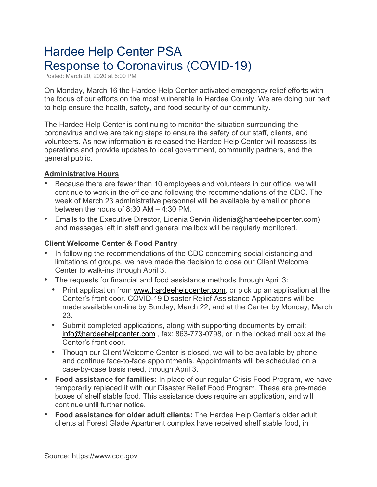# Hardee Help Center PSA Response to Coronavirus (COVID-19)

Posted: March 20, 2020 at 6:00 PM

On Monday, March 16 the Hardee Help Center activated emergency relief efforts with the focus of our efforts on the most vulnerable in Hardee County. We are doing our part to help ensure the health, safety, and food security of our community.

The Hardee Help Center is continuing to monitor the situation surrounding the coronavirus and we are taking steps to ensure the safety of our staff, clients, and volunteers. As new information is released the Hardee Help Center will reassess its operations and provide updates to local government, community partners, and the general public.

#### **Administrative Hours**

- Because there are fewer than 10 employees and volunteers in our office, we will continue to work in the office and following the recommendations of the CDC. The week of March 23 administrative personnel will be available by email or phone between the hours of 8:30 AM – 4:30 PM.
- Emails to the Executive Director, Lidenia Servin [\(lidenia@hardeehelpcenter.com\)](mailto:lidenia@hardeehelpcenter.com) and messages left in staff and general mailbox will be regularly monitored.

### **Client Welcome Center & Food Pantry**

- In following the recommendations of the CDC concerning social distancing and limitations of groups, we have made the decision to close our Client Welcome Center to walk-ins through April 3.
- The requests for financial and food assistance methods through April 3:
	- Print application from [www.hardeehelpcenter.com,](http://www.hardeehelpcenter.com/) or pick up an application at the Center's front door. COVID-19 Disaster Relief Assistance Applications will be made available on-line by Sunday, March 22, and at the Center by Monday, March 23.
	- Submit completed applications, along with supporting documents by email: [info@hardeehelpcenter.com](mailto:info@hardeehelpcenter.com) , fax: 863-773-0798, or in the locked mail box at the Center's front door.
	- Though our Client Welcome Center is closed, we will to be available by phone, and continue face-to-face appointments. Appointments will be scheduled on a case-by-case basis need, through April 3.
- **Food assistance for families:** In place of our regular Crisis Food Program, we have temporarily replaced it with our Disaster Relief Food Program. These are pre-made boxes of shelf stable food. This assistance does require an application, and will continue until further notice.
- **Food assistance for older adult clients:** The Hardee Help Center's older adult clients at Forest Glade Apartment complex have received shelf stable food, in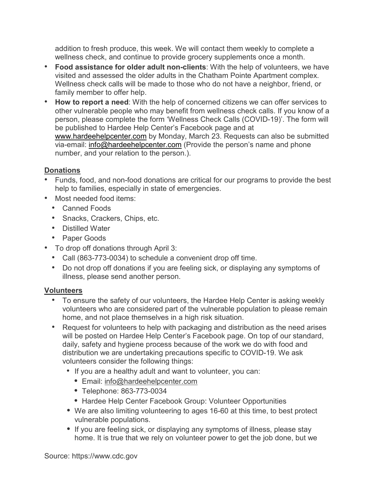addition to fresh produce, this week. We will contact them weekly to complete a wellness check, and continue to provide grocery supplements once a month.

- **Food assistance for older adult non-clients**: With the help of volunteers, we have visited and assessed the older adults in the Chatham Pointe Apartment complex. Wellness check calls will be made to those who do not have a neighbor, friend, or family member to offer help.
- **How to report a need**: With the help of concerned citizens we can offer services to other vulnerable people who may benefit from wellness check calls. If you know of a person, please complete the form 'Wellness Check Calls (COVID-19)'. The form will be published to Hardee Help Center's Facebook page and at [www.hardeehelpcenter.com](http://www.hardeehelpcenter.com/) by Monday, March 23. Requests can also be submitted via-email: [info@hardeehelpcenter.com](mailto:info@hardeehelpcenter.com) (Provide the person's name and phone number, and your relation to the person.).

# **Donations**

- Funds, food, and non-food donations are critical for our programs to provide the best help to families, especially in state of emergencies.
- Most needed food items:
	- Canned Foods
	- Snacks, Crackers, Chips, etc.
	- Distilled Water
	- Paper Goods
- To drop off donations through April 3:
	- Call (863-773-0034) to schedule a convenient drop off time.
	- Do not drop off donations if you are feeling sick, or displaying any symptoms of illness, please send another person.

# **Volunteers**

- To ensure the safety of our volunteers, the Hardee Help Center is asking weekly volunteers who are considered part of the vulnerable population to please remain home, and not place themselves in a high risk situation.
- Request for volunteers to help with packaging and distribution as the need arises will be posted on Hardee Help Center's Facebook page. On top of our standard, daily, safety and hygiene process because of the work we do with food and distribution we are undertaking precautions specific to COVID-19. We ask volunteers consider the following things:
	- If you are a healthy adult and want to volunteer, you can:
		- *•* Email: [info@hardeehelpcenter.com](mailto:info@hardeehelpcenter.com)
		- *•* Telephone: 863-773-0034
		- *•* Hardee Help Center Facebook Group: Volunteer Opportunities
	- *•* We are also limiting volunteering to ages 16-60 at this time, to best protect vulnerable populations.
	- *•* If you are feeling sick, or displaying any symptoms of illness, please stay home. It is true that we rely on volunteer power to get the job done, but we